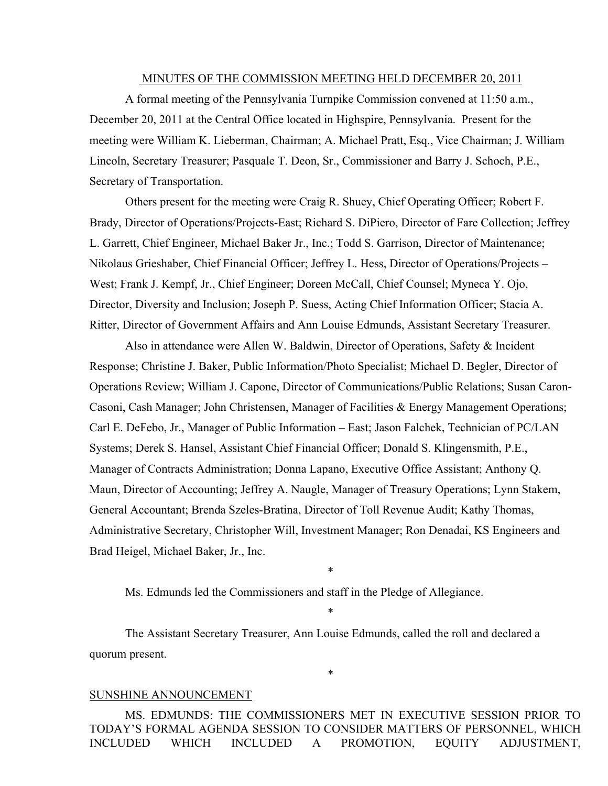#### MINUTES OF THE COMMISSION MEETING HELD DECEMBER 20, 2011

A formal meeting of the Pennsylvania Turnpike Commission convened at 11:50 a.m., December 20, 2011 at the Central Office located in Highspire, Pennsylvania. Present for the meeting were William K. Lieberman, Chairman; A. Michael Pratt, Esq., Vice Chairman; J. William Lincoln, Secretary Treasurer; Pasquale T. Deon, Sr., Commissioner and Barry J. Schoch, P.E., Secretary of Transportation.

Others present for the meeting were Craig R. Shuey, Chief Operating Officer; Robert F. Brady, Director of Operations/Projects-East; Richard S. DiPiero, Director of Fare Collection; Jeffrey L. Garrett, Chief Engineer, Michael Baker Jr., Inc.; Todd S. Garrison, Director of Maintenance; Nikolaus Grieshaber, Chief Financial Officer; Jeffrey L. Hess, Director of Operations/Projects – West; Frank J. Kempf, Jr., Chief Engineer; Doreen McCall, Chief Counsel; Myneca Y. Ojo, Director, Diversity and Inclusion; Joseph P. Suess, Acting Chief Information Officer; Stacia A. Ritter, Director of Government Affairs and Ann Louise Edmunds, Assistant Secretary Treasurer.

Also in attendance were Allen W. Baldwin, Director of Operations, Safety & Incident Response; Christine J. Baker, Public Information/Photo Specialist; Michael D. Begler, Director of Operations Review; William J. Capone, Director of Communications/Public Relations; Susan Caron-Casoni, Cash Manager; John Christensen, Manager of Facilities & Energy Management Operations; Carl E. DeFebo, Jr., Manager of Public Information – East; Jason Falchek, Technician of PC/LAN Systems; Derek S. Hansel, Assistant Chief Financial Officer; Donald S. Klingensmith, P.E., Manager of Contracts Administration; Donna Lapano, Executive Office Assistant; Anthony Q. Maun, Director of Accounting; Jeffrey A. Naugle, Manager of Treasury Operations; Lynn Stakem, General Accountant; Brenda Szeles-Bratina, Director of Toll Revenue Audit; Kathy Thomas, Administrative Secretary, Christopher Will, Investment Manager; Ron Denadai, KS Engineers and Brad Heigel, Michael Baker, Jr., Inc.

\*

\*

\*

Ms. Edmunds led the Commissioners and staff in the Pledge of Allegiance.

The Assistant Secretary Treasurer, Ann Louise Edmunds, called the roll and declared a quorum present.

#### SUNSHINE ANNOUNCEMENT

MS. EDMUNDS: THE COMMISSIONERS MET IN EXECUTIVE SESSION PRIOR TO TODAY'S FORMAL AGENDA SESSION TO CONSIDER MATTERS OF PERSONNEL, WHICH INCLUDED WHICH INCLUDED A PROMOTION, EQUITY ADJUSTMENT,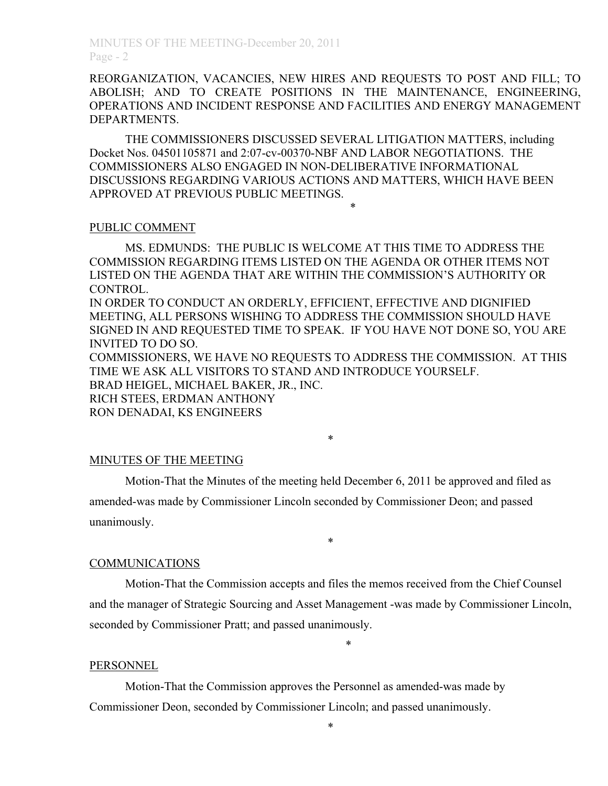REORGANIZATION, VACANCIES, NEW HIRES AND REQUESTS TO POST AND FILL; TO ABOLISH; AND TO CREATE POSITIONS IN THE MAINTENANCE, ENGINEERING, OPERATIONS AND INCIDENT RESPONSE AND FACILITIES AND ENERGY MANAGEMENT DEPARTMENTS.

THE COMMISSIONERS DISCUSSED SEVERAL LITIGATION MATTERS, including Docket Nos. 04501105871 and 2:07-cv-00370-NBF AND LABOR NEGOTIATIONS. THE COMMISSIONERS ALSO ENGAGED IN NON-DELIBERATIVE INFORMATIONAL DISCUSSIONS REGARDING VARIOUS ACTIONS AND MATTERS, WHICH HAVE BEEN APPROVED AT PREVIOUS PUBLIC MEETINGS.

\*

#### PUBLIC COMMENT

MS. EDMUNDS: THE PUBLIC IS WELCOME AT THIS TIME TO ADDRESS THE COMMISSION REGARDING ITEMS LISTED ON THE AGENDA OR OTHER ITEMS NOT LISTED ON THE AGENDA THAT ARE WITHIN THE COMMISSION'S AUTHORITY OR CONTROL.

IN ORDER TO CONDUCT AN ORDERLY, EFFICIENT, EFFECTIVE AND DIGNIFIED MEETING, ALL PERSONS WISHING TO ADDRESS THE COMMISSION SHOULD HAVE SIGNED IN AND REQUESTED TIME TO SPEAK. IF YOU HAVE NOT DONE SO, YOU ARE INVITED TO DO SO.

COMMISSIONERS, WE HAVE NO REQUESTS TO ADDRESS THE COMMISSION. AT THIS TIME WE ASK ALL VISITORS TO STAND AND INTRODUCE YOURSELF. BRAD HEIGEL, MICHAEL BAKER, JR., INC. RICH STEES, ERDMAN ANTHONY

\*

RON DENADAI, KS ENGINEERS

### MINUTES OF THE MEETING

Motion-That the Minutes of the meeting held December 6, 2011 be approved and filed as amended-was made by Commissioner Lincoln seconded by Commissioner Deon; and passed unanimously.

#### COMMUNICATIONS

Motion-That the Commission accepts and files the memos received from the Chief Counsel and the manager of Strategic Sourcing and Asset Management -was made by Commissioner Lincoln, seconded by Commissioner Pratt; and passed unanimously.

\*

\*

#### **PERSONNEL**

Motion-That the Commission approves the Personnel as amended-was made by Commissioner Deon, seconded by Commissioner Lincoln; and passed unanimously.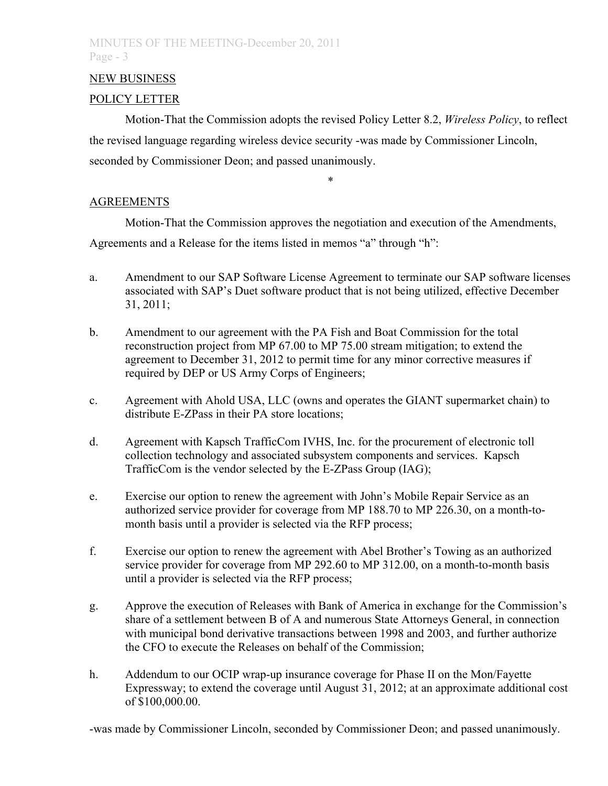## NEW BUSINESS

## POLICY LETTER

Motion-That the Commission adopts the revised Policy Letter 8.2, *Wireless Policy*, to reflect the revised language regarding wireless device security -was made by Commissioner Lincoln, seconded by Commissioner Deon; and passed unanimously.

\*

**AGREEMENTS** 

Motion-That the Commission approves the negotiation and execution of the Amendments,

Agreements and a Release for the items listed in memos "a" through "h":

- a. Amendment to our SAP Software License Agreement to terminate our SAP software licenses associated with SAP's Duet software product that is not being utilized, effective December 31, 2011;
- b. Amendment to our agreement with the PA Fish and Boat Commission for the total reconstruction project from MP 67.00 to MP 75.00 stream mitigation; to extend the agreement to December 31, 2012 to permit time for any minor corrective measures if required by DEP or US Army Corps of Engineers;
- c. Agreement with Ahold USA, LLC (owns and operates the GIANT supermarket chain) to distribute E-ZPass in their PA store locations;
- d. Agreement with Kapsch TrafficCom IVHS, Inc. for the procurement of electronic toll collection technology and associated subsystem components and services. Kapsch TrafficCom is the vendor selected by the E-ZPass Group (IAG);
- e. Exercise our option to renew the agreement with John's Mobile Repair Service as an authorized service provider for coverage from MP 188.70 to MP 226.30, on a month-tomonth basis until a provider is selected via the RFP process;
- f. Exercise our option to renew the agreement with Abel Brother's Towing as an authorized service provider for coverage from MP 292.60 to MP 312.00, on a month-to-month basis until a provider is selected via the RFP process;
- g. Approve the execution of Releases with Bank of America in exchange for the Commission's share of a settlement between B of A and numerous State Attorneys General, in connection with municipal bond derivative transactions between 1998 and 2003, and further authorize the CFO to execute the Releases on behalf of the Commission;
- h. Addendum to our OCIP wrap-up insurance coverage for Phase II on the Mon/Fayette Expressway; to extend the coverage until August 31, 2012; at an approximate additional cost of \$100,000.00.

-was made by Commissioner Lincoln, seconded by Commissioner Deon; and passed unanimously.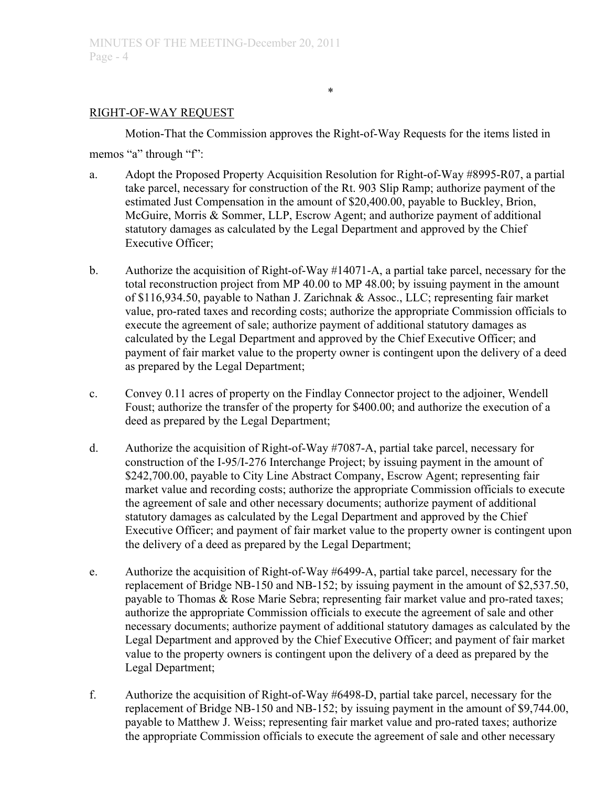## RIGHT-OF-WAY REQUEST

Motion-That the Commission approves the Right-of-Way Requests for the items listed in

memos "a" through "f":

- a. Adopt the Proposed Property Acquisition Resolution for Right-of-Way #8995-R07, a partial take parcel, necessary for construction of the Rt. 903 Slip Ramp; authorize payment of the estimated Just Compensation in the amount of \$20,400.00, payable to Buckley, Brion, McGuire, Morris & Sommer, LLP, Escrow Agent; and authorize payment of additional statutory damages as calculated by the Legal Department and approved by the Chief Executive Officer;
- b. Authorize the acquisition of Right-of-Way #14071-A, a partial take parcel, necessary for the total reconstruction project from MP 40.00 to MP 48.00; by issuing payment in the amount of \$116,934.50, payable to Nathan J. Zarichnak & Assoc., LLC; representing fair market value, pro-rated taxes and recording costs; authorize the appropriate Commission officials to execute the agreement of sale; authorize payment of additional statutory damages as calculated by the Legal Department and approved by the Chief Executive Officer; and payment of fair market value to the property owner is contingent upon the delivery of a deed as prepared by the Legal Department;
- c. Convey 0.11 acres of property on the Findlay Connector project to the adjoiner, Wendell Foust; authorize the transfer of the property for \$400.00; and authorize the execution of a deed as prepared by the Legal Department;
- d. Authorize the acquisition of Right-of-Way #7087-A, partial take parcel, necessary for construction of the I-95/I-276 Interchange Project; by issuing payment in the amount of \$242,700.00, payable to City Line Abstract Company, Escrow Agent; representing fair market value and recording costs; authorize the appropriate Commission officials to execute the agreement of sale and other necessary documents; authorize payment of additional statutory damages as calculated by the Legal Department and approved by the Chief Executive Officer; and payment of fair market value to the property owner is contingent upon the delivery of a deed as prepared by the Legal Department;
- e. Authorize the acquisition of Right-of-Way #6499-A, partial take parcel, necessary for the replacement of Bridge NB-150 and NB-152; by issuing payment in the amount of \$2,537.50, payable to Thomas & Rose Marie Sebra; representing fair market value and pro-rated taxes; authorize the appropriate Commission officials to execute the agreement of sale and other necessary documents; authorize payment of additional statutory damages as calculated by the Legal Department and approved by the Chief Executive Officer; and payment of fair market value to the property owners is contingent upon the delivery of a deed as prepared by the Legal Department;
- f. Authorize the acquisition of Right-of-Way #6498-D, partial take parcel, necessary for the replacement of Bridge NB-150 and NB-152; by issuing payment in the amount of \$9,744.00, payable to Matthew J. Weiss; representing fair market value and pro-rated taxes; authorize the appropriate Commission officials to execute the agreement of sale and other necessary

\*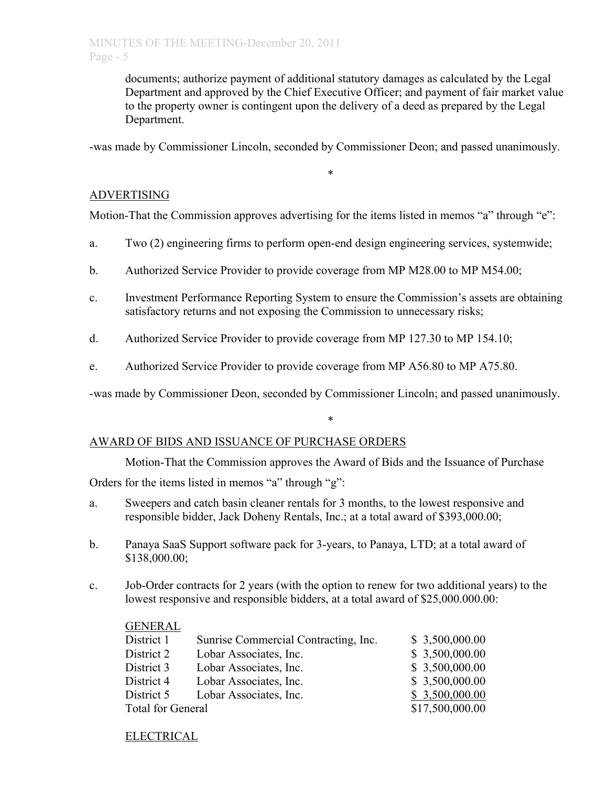documents; authorize payment of additional statutory damages as calculated by the Legal Department and approved by the Chief Executive Officer; and payment of fair market value to the property owner is contingent upon the delivery of a deed as prepared by the Legal Department.

-was made by Commissioner Lincoln, seconded by Commissioner Deon; and passed unanimously.

\*

# ADVERTISING

Motion-That the Commission approves advertising for the items listed in memos "a" through "e":

- a. Two (2) engineering firms to perform open-end design engineering services, systemwide;
- b. Authorized Service Provider to provide coverage from MP M28.00 to MP M54.00;
- c. Investment Performance Reporting System to ensure the Commission's assets are obtaining satisfactory returns and not exposing the Commission to unnecessary risks;
- d. Authorized Service Provider to provide coverage from MP 127.30 to MP 154.10;
- e. Authorized Service Provider to provide coverage from MP A56.80 to MP A75.80.

-was made by Commissioner Deon, seconded by Commissioner Lincoln; and passed unanimously.

### AWARD OF BIDS AND ISSUANCE OF PURCHASE ORDERS

Motion-That the Commission approves the Award of Bids and the Issuance of Purchase

\*

Orders for the items listed in memos "a" through "g":

- a. Sweepers and catch basin cleaner rentals for 3 months, to the lowest responsive and responsible bidder, Jack Doheny Rentals, Inc.; at a total award of \$393,000.00;
- b. Panaya SaaS Support software pack for 3-years, to Panaya, LTD; at a total award of \$138,000.00;
- c. Job-Order contracts for 2 years (with the option to renew for two additional years) to the lowest responsive and responsible bidders, at a total award of \$25,000.000.00:

| <b>GENERAL</b>           |                                      |                 |
|--------------------------|--------------------------------------|-----------------|
| District 1               | Sunrise Commercial Contracting, Inc. | \$3,500,000.00  |
| District 2               | Lobar Associates, Inc.               | \$3,500,000.00  |
| District 3               | Lobar Associates, Inc.               | \$3,500,000.00  |
| District 4               | Lobar Associates, Inc.               | \$3,500,000.00  |
| District 5               | Lobar Associates, Inc.               | \$3,500,000.00  |
| <b>Total for General</b> |                                      | \$17,500,000.00 |

### ELECTRICAL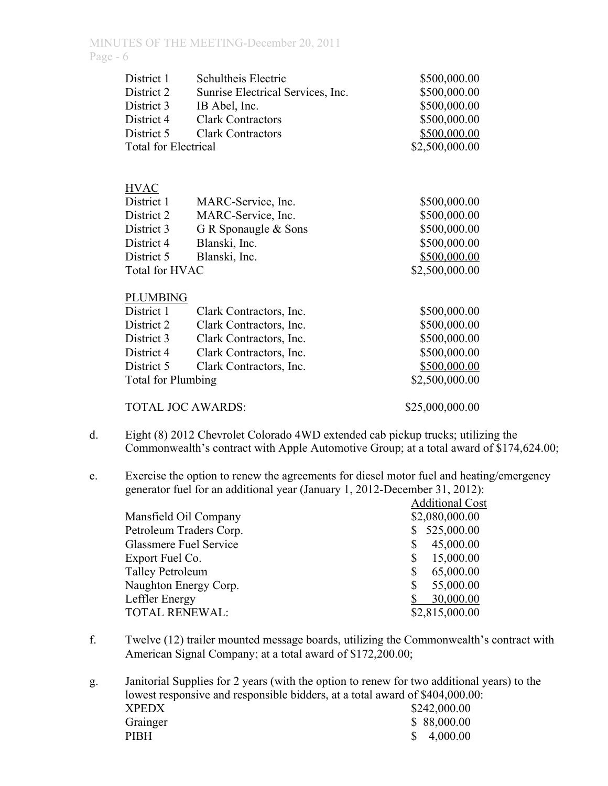| District 1                  | Schultheis Electric               | \$500,000.00    |
|-----------------------------|-----------------------------------|-----------------|
| District 2                  | Sunrise Electrical Services, Inc. | \$500,000.00    |
| District 3                  | IB Abel, Inc.                     | \$500,000.00    |
| District 4                  | <b>Clark Contractors</b>          | \$500,000.00    |
| District 5                  | <b>Clark Contractors</b>          | \$500,000.00    |
| <b>Total for Electrical</b> |                                   | \$2,500,000.00  |
|                             |                                   |                 |
|                             |                                   |                 |
| <b>HVAC</b>                 |                                   |                 |
| District 1                  | MARC-Service, Inc.                | \$500,000.00    |
| District 2                  | MARC-Service, Inc.                | \$500,000.00    |
| District 3                  | G R Sponaugle & Sons              | \$500,000.00    |
| District 4                  | Blanski, Inc.                     | \$500,000.00    |
| District 5                  | Blanski, Inc.                     | \$500,000.00    |
| Total for HVAC              |                                   | \$2,500,000.00  |
| <b>PLUMBING</b>             |                                   |                 |
| District 1                  | Clark Contractors, Inc.           | \$500,000.00    |
| District 2                  |                                   | \$500,000.00    |
|                             | Clark Contractors, Inc.           |                 |
| District 3                  | Clark Contractors, Inc.           | \$500,000.00    |
| District 4                  | Clark Contractors, Inc.           | \$500,000.00    |
| District 5                  | Clark Contractors, Inc.           | \$500,000.00    |
| <b>Total for Plumbing</b>   |                                   | \$2,500,000.00  |
| <b>TOTAL JOC AWARDS:</b>    |                                   | \$25,000,000.00 |

- d. Eight (8) 2012 Chevrolet Colorado 4WD extended cab pickup trucks; utilizing the Commonwealth's contract with Apple Automotive Group; at a total award of \$174,624.00;
- e. Exercise the option to renew the agreements for diesel motor fuel and heating/emergency generator fuel for an additional year (January 1, 2012-December 31, 2012):

|                         | <b>Additional Cost</b> |
|-------------------------|------------------------|
| Mansfield Oil Company   | \$2,080,000.00         |
| Petroleum Traders Corp. | 525,000.00             |
| Glassmere Fuel Service  | 45,000.00<br>\$        |
| Export Fuel Co.         | 15,000.00<br>S         |
| <b>Talley Petroleum</b> | 65,000.00<br>\$        |
| Naughton Energy Corp.   | 55,000.00<br>\$        |
| Leffler Energy          | 30,000.00              |
| <b>TOTAL RENEWAL:</b>   | \$2,815,000.00         |

- f. Twelve (12) trailer mounted message boards, utilizing the Commonwealth's contract with American Signal Company; at a total award of \$172,200.00;
- g. Janitorial Supplies for 2 years (with the option to renew for two additional years) to the lowest responsive and responsible bidders, at a total award of \$404,000.00: XPEDX \$242,000.00 Grainger \$ 88,000.00 PIBH  $$ 4,000.00$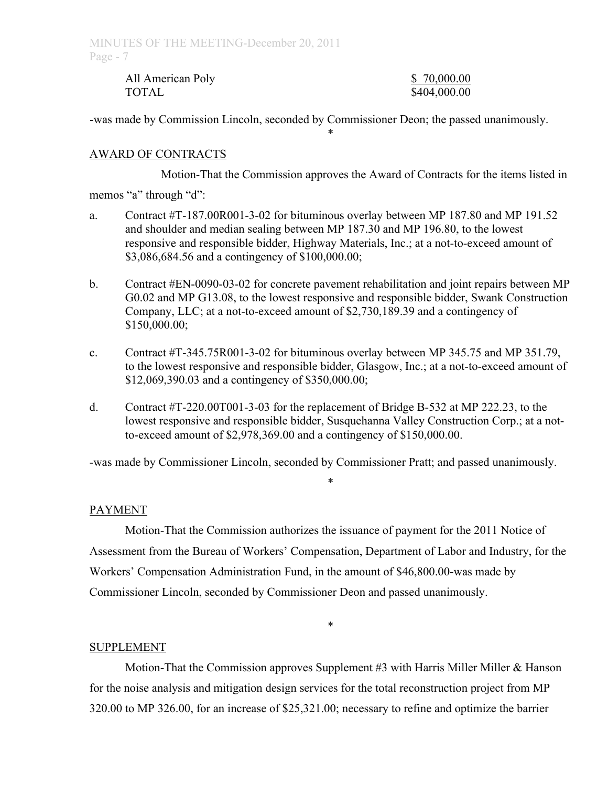| All American Poly | \$70,000.00  |
|-------------------|--------------|
| <b>TOTAL</b>      | \$404,000.00 |

-was made by Commission Lincoln, seconded by Commissioner Deon; the passed unanimously.

### AWARD OF CONTRACTS

Motion-That the Commission approves the Award of Contracts for the items listed in

\*

memos "a" through "d":

- a. Contract #T-187.00R001-3-02 for bituminous overlay between MP 187.80 and MP 191.52 and shoulder and median sealing between MP 187.30 and MP 196.80, to the lowest responsive and responsible bidder, Highway Materials, Inc.; at a not-to-exceed amount of \$3,086,684.56 and a contingency of \$100,000.00;
- b. Contract #EN-0090-03-02 for concrete pavement rehabilitation and joint repairs between MP G0.02 and MP G13.08, to the lowest responsive and responsible bidder, Swank Construction Company, LLC; at a not-to-exceed amount of \$2,730,189.39 and a contingency of \$150,000.00;
- c. Contract #T-345.75R001-3-02 for bituminous overlay between MP 345.75 and MP 351.79, to the lowest responsive and responsible bidder, Glasgow, Inc.; at a not-to-exceed amount of \$12,069,390.03 and a contingency of \$350,000.00;
- d. Contract #T-220.00T001-3-03 for the replacement of Bridge B-532 at MP 222.23, to the lowest responsive and responsible bidder, Susquehanna Valley Construction Corp.; at a notto-exceed amount of \$2,978,369.00 and a contingency of \$150,000.00.

-was made by Commissioner Lincoln, seconded by Commissioner Pratt; and passed unanimously.

\*

### PAYMENT

Motion-That the Commission authorizes the issuance of payment for the 2011 Notice of Assessment from the Bureau of Workers' Compensation, Department of Labor and Industry, for the Workers' Compensation Administration Fund, in the amount of \$46,800.00-was made by Commissioner Lincoln, seconded by Commissioner Deon and passed unanimously.

#### \*

### SUPPLEMENT

Motion-That the Commission approves Supplement #3 with Harris Miller Miller & Hanson for the noise analysis and mitigation design services for the total reconstruction project from MP 320.00 to MP 326.00, for an increase of \$25,321.00; necessary to refine and optimize the barrier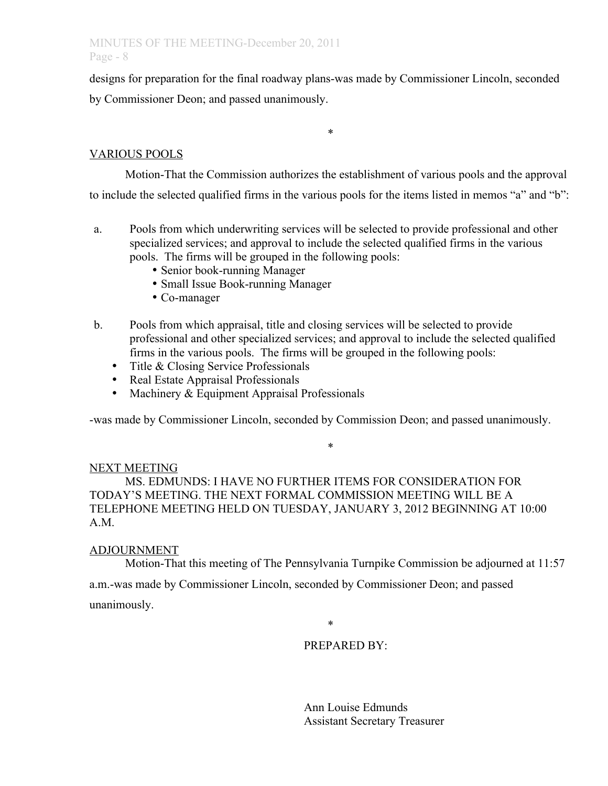# MINUTES OF THE MEETING-December 20, 2011 Page - 8

designs for preparation for the final roadway plans-was made by Commissioner Lincoln, seconded by Commissioner Deon; and passed unanimously.

\*

# VARIOUS POOLS

Motion-That the Commission authorizes the establishment of various pools and the approval to include the selected qualified firms in the various pools for the items listed in memos "a" and "b":

- a. Pools from which underwriting services will be selected to provide professional and other specialized services; and approval to include the selected qualified firms in the various pools. The firms will be grouped in the following pools:
	- Senior book-running Manager
	- Small Issue Book-running Manager
	- Co-manager
- b. Pools from which appraisal, title and closing services will be selected to provide professional and other specialized services; and approval to include the selected qualified firms in the various pools. The firms will be grouped in the following pools:
	- Title & Closing Service Professionals
	- Real Estate Appraisal Professionals
	- Machinery & Equipment Appraisal Professionals

-was made by Commissioner Lincoln, seconded by Commission Deon; and passed unanimously.

\*

#### NEXT MEETING

MS. EDMUNDS: I HAVE NO FURTHER ITEMS FOR CONSIDERATION FOR TODAY'S MEETING. THE NEXT FORMAL COMMISSION MEETING WILL BE A TELEPHONE MEETING HELD ON TUESDAY, JANUARY 3, 2012 BEGINNING AT 10:00 A.M.

### ADJOURNMENT

Motion-That this meeting of The Pennsylvania Turnpike Commission be adjourned at 11:57

a.m.-was made by Commissioner Lincoln, seconded by Commissioner Deon; and passed

unanimously.

\*

# PREPARED BY:

Ann Louise Edmunds Assistant Secretary Treasurer